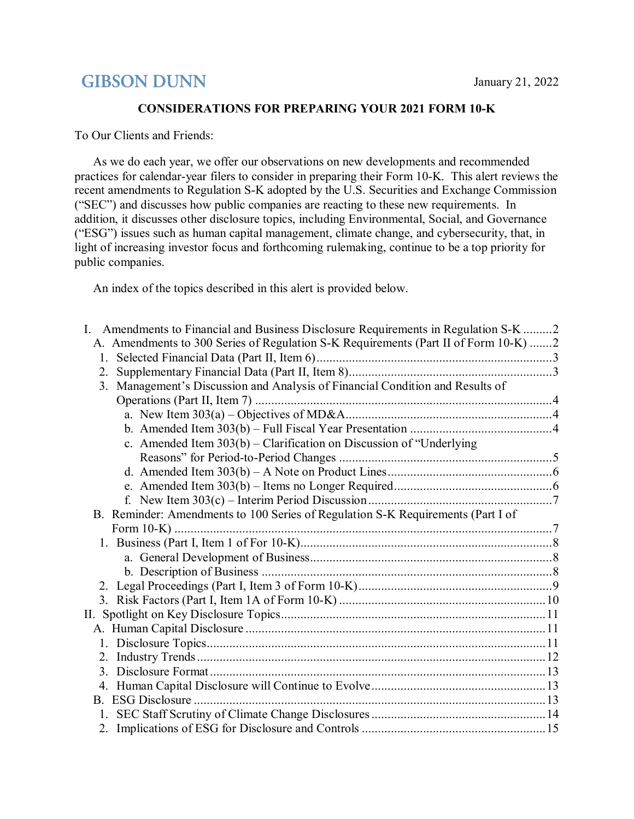# **GIBSON DUNN**

### **CONSIDERATIONS FOR PREPARING YOUR 2021 FORM 10‑K**

To Our Clients and Friends:

As we do each year, we offer our observations on new developments and recommended practices for calendar-year filers to consider in preparing their Form 10-K. This alert reviews the recent amendments to Regulation S-K adopted by the U.S. Securities and Exchange Commission ("SEC") and discusses how public companies are reacting to these new requirements. In addition, it discusses other disclosure topics, including Environmental, Social, and Governance ("ESG") issues such as human capital management, climate change, and cybersecurity, that, in light of increasing investor focus and forthcoming rulemaking, continue to be a top priority for public companies.

An index of the topics described in this alert is provided below.

| L.<br>Amendments to Financial and Business Disclosure Requirements in Regulation S-K 2 |  |
|----------------------------------------------------------------------------------------|--|
| A. Amendments to 300 Series of Regulation S-K Requirements (Part II of Form 10-K) 2    |  |
| 1.                                                                                     |  |
| 2.                                                                                     |  |
| 3. Management's Discussion and Analysis of Financial Condition and Results of          |  |
|                                                                                        |  |
|                                                                                        |  |
|                                                                                        |  |
| c. Amended Item 303(b) - Clarification on Discussion of "Underlying                    |  |
|                                                                                        |  |
|                                                                                        |  |
|                                                                                        |  |
|                                                                                        |  |
| B. Reminder: Amendments to 100 Series of Regulation S-K Requirements (Part I of        |  |
|                                                                                        |  |
|                                                                                        |  |
|                                                                                        |  |
|                                                                                        |  |
|                                                                                        |  |
|                                                                                        |  |
|                                                                                        |  |
|                                                                                        |  |
|                                                                                        |  |
|                                                                                        |  |
| 3.                                                                                     |  |
|                                                                                        |  |
|                                                                                        |  |
|                                                                                        |  |
|                                                                                        |  |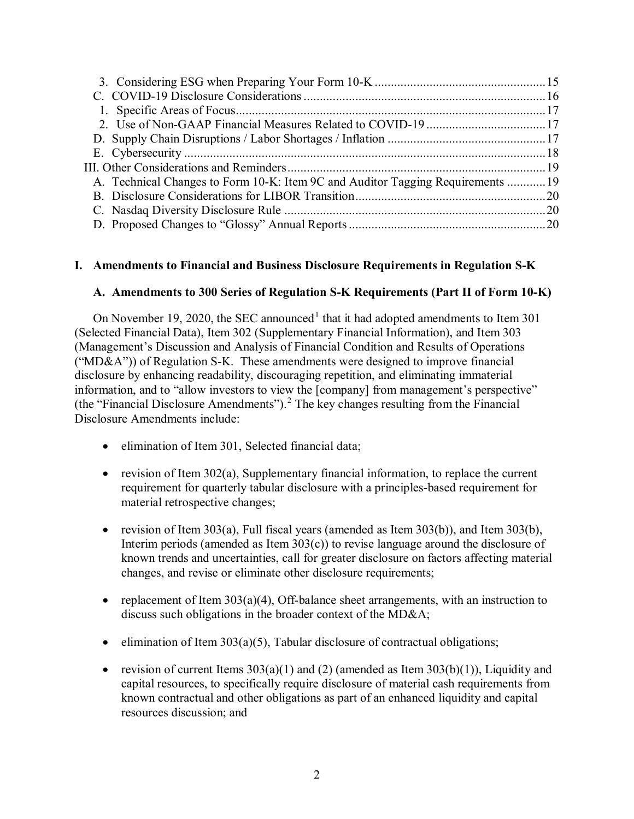| A. Technical Changes to Form 10-K: Item 9C and Auditor Tagging Requirements 19 |  |
|--------------------------------------------------------------------------------|--|
|                                                                                |  |
|                                                                                |  |
|                                                                                |  |

# <span id="page-1-0"></span>**I. Amendments to Financial and Business Disclosure Requirements in Regulation S-K**

### <span id="page-1-1"></span>**A. Amendments to 300 Series of Regulation S-K Requirements (Part II of Form 10-K)**

On November [1](#page-20-0)9, 2020, the SEC announced<sup>1</sup> that it had adopted amendments to Item 301 (Selected Financial Data), Item 302 (Supplementary Financial Information), and Item 303 (Management's Discussion and Analysis of Financial Condition and Results of Operations (" $MD&A$ ")) of Regulation S-K. These amendments were designed to improve financial disclosure by enhancing readability, discouraging repetition, and eliminating immaterial information, and to "allow investors to view the [company] from management's perspective" (the "Financial Disclosure Amendments").[2](#page-20-1) The key changes resulting from the Financial Disclosure Amendments include:

- elimination of Item 301, Selected financial data;
- revision of Item 302(a), Supplementary financial information, to replace the current requirement for quarterly tabular disclosure with a principles-based requirement for material retrospective changes;
- revision of Item  $303(a)$ , Full fiscal years (amended as Item  $303(b)$ ), and Item  $303(b)$ , Interim periods (amended as Item 303(c)) to revise language around the disclosure of known trends and uncertainties, call for greater disclosure on factors affecting material changes, and revise or eliminate other disclosure requirements;
- replacement of Item  $303(a)(4)$ , Off-balance sheet arrangements, with an instruction to discuss such obligations in the broader context of the MD&A;
- elimination of Item  $303(a)(5)$ , Tabular disclosure of contractual obligations;
- revision of current Items  $303(a)(1)$  and (2) (amended as Item  $303(b)(1)$ ), Liquidity and capital resources, to specifically require disclosure of material cash requirements from known contractual and other obligations as part of an enhanced liquidity and capital resources discussion; and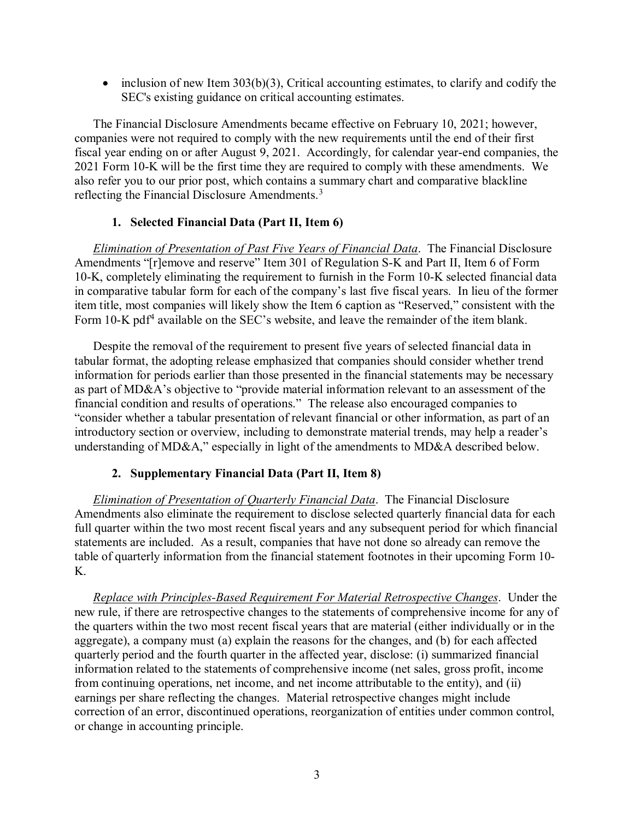• inclusion of new Item 303(b)(3), Critical accounting estimates, to clarify and codify the SEC's existing guidance on critical accounting estimates.

The Financial Disclosure Amendments became effective on February 10, 2021; however, companies were not required to comply with the new requirements until the end of their first fiscal year ending on or after August 9, 2021. Accordingly, for calendar year-end companies, the 2021 Form 10-K will be the first time they are required to comply with these amendments. We also refer you to our prior post, which contains a summary chart and comparative blackline reflecting the Financial Disclosure Amendments.<sup>[3](#page-20-2)</sup>

### **1. Selected Financial Data (Part II, Item 6)**

<span id="page-2-0"></span>*Elimination of Presentation of Past Five Years of Financial Data*. The Financial Disclosure Amendments "[r]emove and reserve" Item 301 of Regulation S-K and Part II, Item 6 of Form 10-K, completely eliminating the requirement to furnish in the Form 10-K selected financial data in comparative tabular form for each of the company's last five fiscal years. In lieu of the former item title, most companies will likely show the Item 6 caption as "Reserved," consistent with the Form 10-K pdf<sup>[4](#page-20-3)</sup> available on the SEC's website, and leave the remainder of the item blank.

Despite the removal of the requirement to present five years of selected financial data in tabular format, the adopting release emphasized that companies should consider whether trend information for periods earlier than those presented in the financial statements may be necessary as part of MD&A's objective to "provide material information relevant to an assessment of the financial condition and results of operations." The release also encouraged companies to "consider whether a tabular presentation of relevant financial or other information, as part of an introductory section or overview, including to demonstrate material trends, may help a reader's understanding of MD&A," especially in light of the amendments to MD&A described below.

# **2. Supplementary Financial Data (Part II, Item 8)**

<span id="page-2-1"></span>*Elimination of Presentation of Quarterly Financial Data*. The Financial Disclosure Amendments also eliminate the requirement to disclose selected quarterly financial data for each full quarter within the two most recent fiscal years and any subsequent period for which financial statements are included. As a result, companies that have not done so already can remove the table of quarterly information from the financial statement footnotes in their upcoming Form 10- K.

*Replace with Principles-Based Requirement For Material Retrospective Changes*. Under the new rule, if there are retrospective changes to the statements of comprehensive income for any of the quarters within the two most recent fiscal years that are material (either individually or in the aggregate), a company must (a) explain the reasons for the changes, and (b) for each affected quarterly period and the fourth quarter in the affected year, disclose: (i) summarized financial information related to the statements of comprehensive income (net sales, gross profit, income from continuing operations, net income, and net income attributable to the entity), and (ii) earnings per share reflecting the changes. Material retrospective changes might include correction of an error, discontinued operations, reorganization of entities under common control, or change in accounting principle.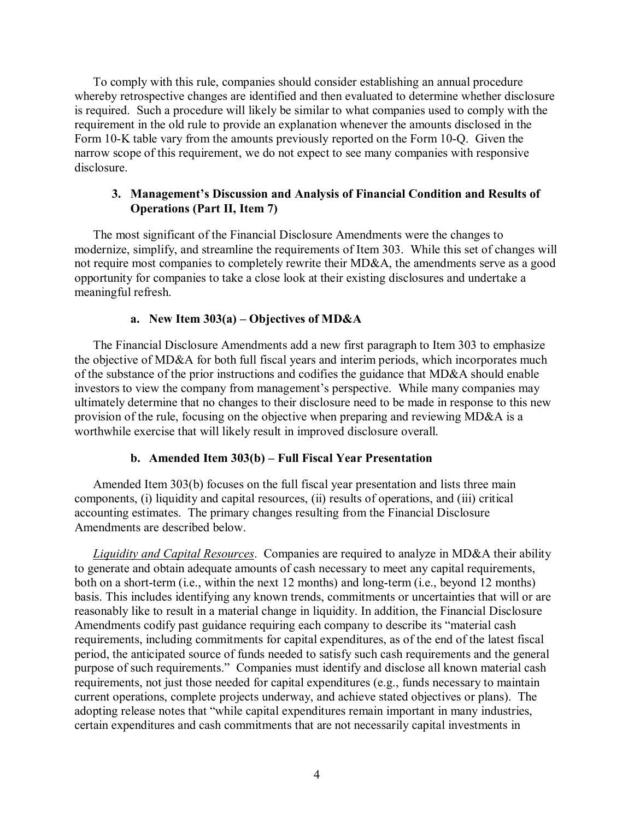To comply with this rule, companies should consider establishing an annual procedure whereby retrospective changes are identified and then evaluated to determine whether disclosure is required. Such a procedure will likely be similar to what companies used to comply with the requirement in the old rule to provide an explanation whenever the amounts disclosed in the Form 10-K table vary from the amounts previously reported on the Form 10-Q. Given the narrow scope of this requirement, we do not expect to see many companies with responsive disclosure.

### <span id="page-3-0"></span>**3. Management's Discussion and Analysis of Financial Condition and Results of Operations (Part II, Item 7)**

The most significant of the Financial Disclosure Amendments were the changes to modernize, simplify, and streamline the requirements of Item 303. While this set of changes will not require most companies to completely rewrite their MD&A, the amendments serve as a good opportunity for companies to take a close look at their existing disclosures and undertake a meaningful refresh.

### **a. New Item 303(a) – Objectives of MD&A**

<span id="page-3-1"></span>The Financial Disclosure Amendments add a new first paragraph to Item 303 to emphasize the objective of MD&A for both full fiscal years and interim periods, which incorporates much of the substance of the prior instructions and codifies the guidance that MD&A should enable investors to view the company from management's perspective. While many companies may ultimately determine that no changes to their disclosure need to be made in response to this new provision of the rule, focusing on the objective when preparing and reviewing MD&A is a worthwhile exercise that will likely result in improved disclosure overall.

#### **b. Amended Item 303(b) – Full Fiscal Year Presentation**

<span id="page-3-2"></span>Amended Item 303(b) focuses on the full fiscal year presentation and lists three main components, (i) liquidity and capital resources, (ii) results of operations, and (iii) critical accounting estimates. The primary changes resulting from the Financial Disclosure Amendments are described below.

*Liquidity and Capital Resources*. Companies are required to analyze in MD&A their ability to generate and obtain adequate amounts of cash necessary to meet any capital requirements, both on a short-term (i.e., within the next 12 months) and long-term (i.e., beyond 12 months) basis. This includes identifying any known trends, commitments or uncertainties that will or are reasonably like to result in a material change in liquidity. In addition, the Financial Disclosure Amendments codify past guidance requiring each company to describe its "material cash requirements, including commitments for capital expenditures, as of the end of the latest fiscal period, the anticipated source of funds needed to satisfy such cash requirements and the general purpose of such requirements." Companies must identify and disclose all known material cash requirements, not just those needed for capital expenditures (e.g., funds necessary to maintain current operations, complete projects underway, and achieve stated objectives or plans). The adopting release notes that "while capital expenditures remain important in many industries, certain expenditures and cash commitments that are not necessarily capital investments in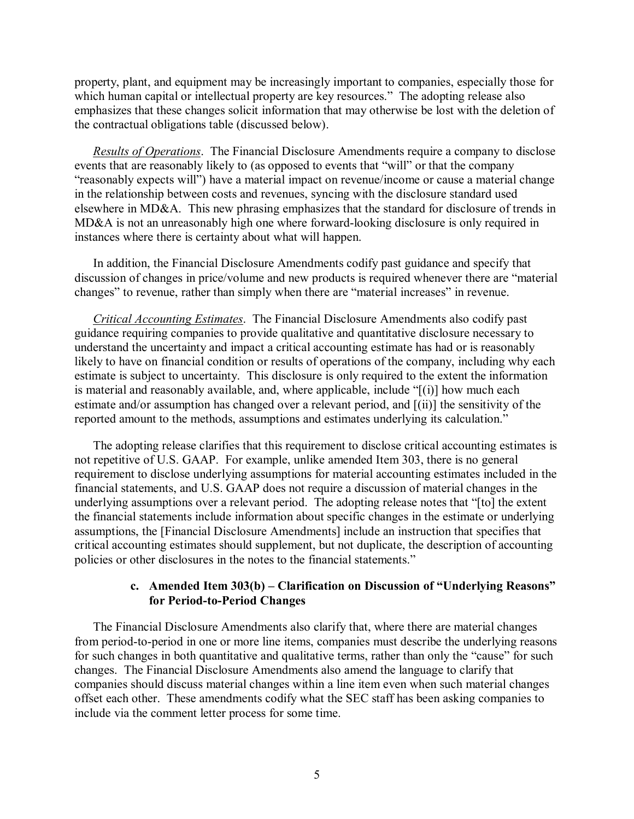property, plant, and equipment may be increasingly important to companies, especially those for which human capital or intellectual property are key resources." The adopting release also emphasizes that these changes solicit information that may otherwise be lost with the deletion of the contractual obligations table (discussed below).

*Results of Operations*. The Financial Disclosure Amendments require a company to disclose events that are reasonably likely to (as opposed to events that "will" or that the company "reasonably expects will") have a material impact on revenue/income or cause a material change in the relationship between costs and revenues, syncing with the disclosure standard used elsewhere in MD&A. This new phrasing emphasizes that the standard for disclosure of trends in MD&A is not an unreasonably high one where forward-looking disclosure is only required in instances where there is certainty about what will happen.

In addition, the Financial Disclosure Amendments codify past guidance and specify that discussion of changes in price/volume and new products is required whenever there are "material changes" to revenue, rather than simply when there are "material increases" in revenue.

*Critical Accounting Estimates*. The Financial Disclosure Amendments also codify past guidance requiring companies to provide qualitative and quantitative disclosure necessary to understand the uncertainty and impact a critical accounting estimate has had or is reasonably likely to have on financial condition or results of operations of the company, including why each estimate is subject to uncertainty. This disclosure is only required to the extent the information is material and reasonably available, and, where applicable, include "[(i)] how much each estimate and/or assumption has changed over a relevant period, and [(ii)] the sensitivity of the reported amount to the methods, assumptions and estimates underlying its calculation."

The adopting release clarifies that this requirement to disclose critical accounting estimates is not repetitive of U.S. GAAP. For example, unlike amended Item 303, there is no general requirement to disclose underlying assumptions for material accounting estimates included in the financial statements, and U.S. GAAP does not require a discussion of material changes in the underlying assumptions over a relevant period. The adopting release notes that "[to] the extent the financial statements include information about specific changes in the estimate or underlying assumptions, the [Financial Disclosure Amendments] include an instruction that specifies that critical accounting estimates should supplement, but not duplicate, the description of accounting policies or other disclosures in the notes to the financial statements."

### **c. Amended Item 303(b) – Clarification on Discussion of "Underlying Reasons" for Period-to-Period Changes**

<span id="page-4-0"></span>The Financial Disclosure Amendments also clarify that, where there are material changes from period-to-period in one or more line items, companies must describe the underlying reasons for such changes in both quantitative and qualitative terms, rather than only the "cause" for such changes. The Financial Disclosure Amendments also amend the language to clarify that companies should discuss material changes within a line item even when such material changes offset each other. These amendments codify what the SEC staff has been asking companies to include via the comment letter process for some time.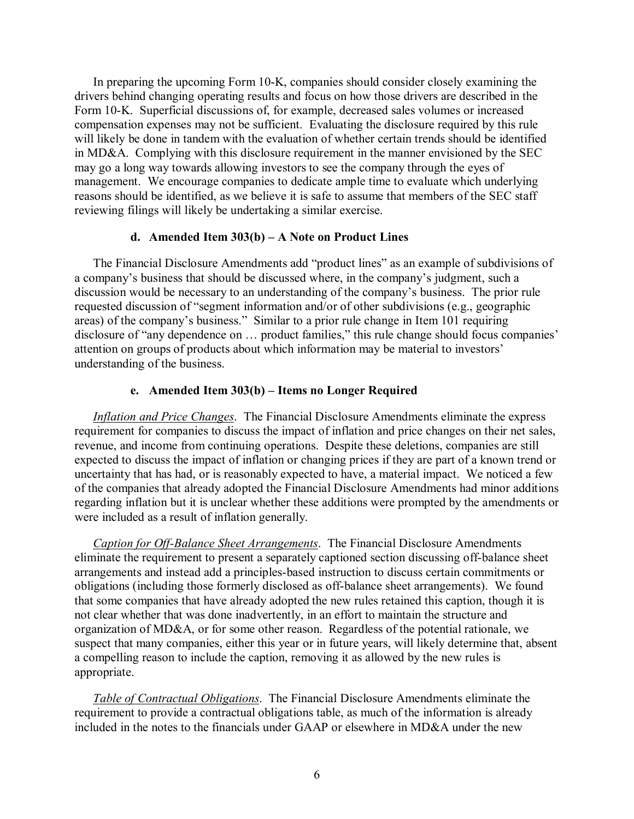In preparing the upcoming Form 10-K, companies should consider closely examining the drivers behind changing operating results and focus on how those drivers are described in the Form 10-K. Superficial discussions of, for example, decreased sales volumes or increased compensation expenses may not be sufficient. Evaluating the disclosure required by this rule will likely be done in tandem with the evaluation of whether certain trends should be identified in MD&A. Complying with this disclosure requirement in the manner envisioned by the SEC may go a long way towards allowing investors to see the company through the eyes of management. We encourage companies to dedicate ample time to evaluate which underlying reasons should be identified, as we believe it is safe to assume that members of the SEC staff reviewing filings will likely be undertaking a similar exercise.

#### **d. Amended Item 303(b) – A Note on Product Lines**

<span id="page-5-0"></span>The Financial Disclosure Amendments add "product lines" as an example of subdivisions of a company's business that should be discussed where, in the company's judgment, such a discussion would be necessary to an understanding of the company's business. The prior rule requested discussion of "segment information and/or of other subdivisions (e.g., geographic areas) of the company's business." Similar to a prior rule change in Item 101 requiring disclosure of "any dependence on … product families," this rule change should focus companies' attention on groups of products about which information may be material to investors' understanding of the business.

#### **e. Amended Item 303(b) – Items no Longer Required**

<span id="page-5-1"></span>*Inflation and Price Changes*. The Financial Disclosure Amendments eliminate the express requirement for companies to discuss the impact of inflation and price changes on their net sales, revenue, and income from continuing operations. Despite these deletions, companies are still expected to discuss the impact of inflation or changing prices if they are part of a known trend or uncertainty that has had, or is reasonably expected to have, a material impact. We noticed a few of the companies that already adopted the Financial Disclosure Amendments had minor additions regarding inflation but it is unclear whether these additions were prompted by the amendments or were included as a result of inflation generally.

*Caption for Off-Balance Sheet Arrangements*. The Financial Disclosure Amendments eliminate the requirement to present a separately captioned section discussing off-balance sheet arrangements and instead add a principles-based instruction to discuss certain commitments or obligations (including those formerly disclosed as off-balance sheet arrangements). We found that some companies that have already adopted the new rules retained this caption, though it is not clear whether that was done inadvertently, in an effort to maintain the structure and organization of MD&A, or for some other reason. Regardless of the potential rationale, we suspect that many companies, either this year or in future years, will likely determine that, absent a compelling reason to include the caption, removing it as allowed by the new rules is appropriate.

*Table of Contractual Obligations*. The Financial Disclosure Amendments eliminate the requirement to provide a contractual obligations table, as much of the information is already included in the notes to the financials under GAAP or elsewhere in MD&A under the new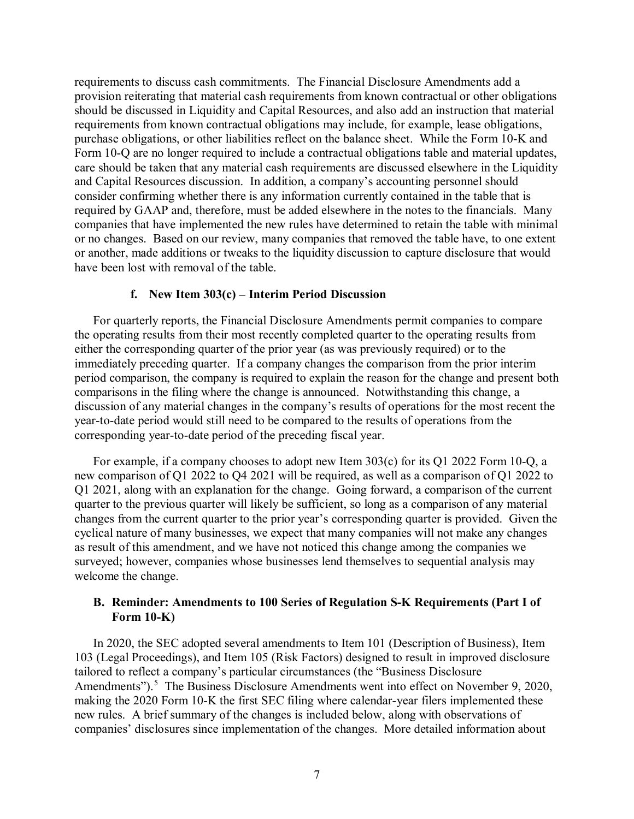requirements to discuss cash commitments. The Financial Disclosure Amendments add a provision reiterating that material cash requirements from known contractual or other obligations should be discussed in Liquidity and Capital Resources, and also add an instruction that material requirements from known contractual obligations may include, for example, lease obligations, purchase obligations, or other liabilities reflect on the balance sheet. While the Form 10-K and Form 10-Q are no longer required to include a contractual obligations table and material updates, care should be taken that any material cash requirements are discussed elsewhere in the Liquidity and Capital Resources discussion. In addition, a company's accounting personnel should consider confirming whether there is any information currently contained in the table that is required by GAAP and, therefore, must be added elsewhere in the notes to the financials. Many companies that have implemented the new rules have determined to retain the table with minimal or no changes. Based on our review, many companies that removed the table have, to one extent or another, made additions or tweaks to the liquidity discussion to capture disclosure that would have been lost with removal of the table.

#### **f. New Item 303(c) – Interim Period Discussion**

<span id="page-6-0"></span>For quarterly reports, the Financial Disclosure Amendments permit companies to compare the operating results from their most recently completed quarter to the operating results from either the corresponding quarter of the prior year (as was previously required) or to the immediately preceding quarter. If a company changes the comparison from the prior interim period comparison, the company is required to explain the reason for the change and present both comparisons in the filing where the change is announced. Notwithstanding this change, a discussion of any material changes in the company's results of operations for the most recent the year-to-date period would still need to be compared to the results of operations from the corresponding year-to-date period of the preceding fiscal year.

For example, if a company chooses to adopt new Item 303(c) for its Q1 2022 Form 10-Q, a new comparison of Q1 2022 to Q4 2021 will be required, as well as a comparison of Q1 2022 to Q1 2021, along with an explanation for the change. Going forward, a comparison of the current quarter to the previous quarter will likely be sufficient, so long as a comparison of any material changes from the current quarter to the prior year's corresponding quarter is provided. Given the cyclical nature of many businesses, we expect that many companies will not make any changes as result of this amendment, and we have not noticed this change among the companies we surveyed; however, companies whose businesses lend themselves to sequential analysis may welcome the change.

### <span id="page-6-1"></span>**B. Reminder: Amendments to 100 Series of Regulation S-K Requirements (Part I of Form 10-K)**

In 2020, the SEC adopted several amendments to Item 101 (Description of Business), Item 103 (Legal Proceedings), and Item 105 (Risk Factors) designed to result in improved disclosure tailored to reflect a company's particular circumstances (the "Business Disclosure Amendments").<sup>[5](#page-21-0)</sup> The Business Disclosure Amendments went into effect on November 9, 2020, making the 2020 Form 10-K the first SEC filing where calendar-year filers implemented these new rules. A brief summary of the changes is included below, along with observations of companies' disclosures since implementation of the changes. More detailed information about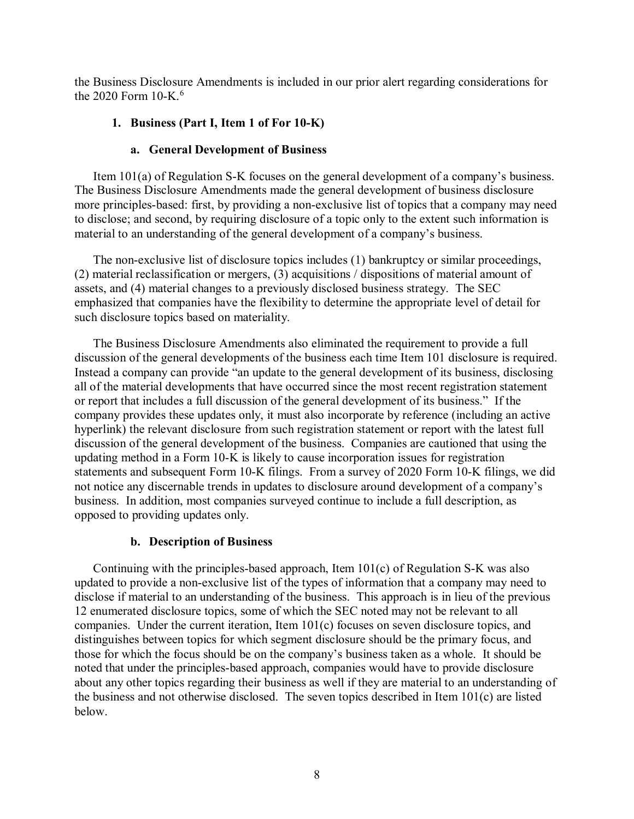the Business Disclosure Amendments is included in our prior alert regarding considerations for the 2020 Form  $10-K<sup>6</sup>$  $10-K<sup>6</sup>$  $10-K<sup>6</sup>$ 

### <span id="page-7-0"></span>**1. Business (Part I, Item 1 of For 10-K)**

### **a. General Development of Business**

<span id="page-7-1"></span>Item 101(a) of Regulation S-K focuses on the general development of a company's business. The Business Disclosure Amendments made the general development of business disclosure more principles-based: first, by providing a non-exclusive list of topics that a company may need to disclose; and second, by requiring disclosure of a topic only to the extent such information is material to an understanding of the general development of a company's business.

The non-exclusive list of disclosure topics includes (1) bankruptcy or similar proceedings, (2) material reclassification or mergers, (3) acquisitions / dispositions of material amount of assets, and (4) material changes to a previously disclosed business strategy. The SEC emphasized that companies have the flexibility to determine the appropriate level of detail for such disclosure topics based on materiality.

The Business Disclosure Amendments also eliminated the requirement to provide a full discussion of the general developments of the business each time Item 101 disclosure is required. Instead a company can provide "an update to the general development of its business, disclosing all of the material developments that have occurred since the most recent registration statement or report that includes a full discussion of the general development of its business." If the company provides these updates only, it must also incorporate by reference (including an active hyperlink) the relevant disclosure from such registration statement or report with the latest full discussion of the general development of the business. Companies are cautioned that using the updating method in a Form 10-K is likely to cause incorporation issues for registration statements and subsequent Form 10-K filings. From a survey of 2020 Form 10-K filings, we did not notice any discernable trends in updates to disclosure around development of a company's business. In addition, most companies surveyed continue to include a full description, as opposed to providing updates only.

### **b. Description of Business**

<span id="page-7-2"></span>Continuing with the principles-based approach, Item 101(c) of Regulation S-K was also updated to provide a non-exclusive list of the types of information that a company may need to disclose if material to an understanding of the business. This approach is in lieu of the previous 12 enumerated disclosure topics, some of which the SEC noted may not be relevant to all companies. Under the current iteration, Item 101(c) focuses on seven disclosure topics, and distinguishes between topics for which segment disclosure should be the primary focus, and those for which the focus should be on the company's business taken as a whole. It should be noted that under the principles-based approach, companies would have to provide disclosure about any other topics regarding their business as well if they are material to an understanding of the business and not otherwise disclosed. The seven topics described in Item 101(c) are listed below.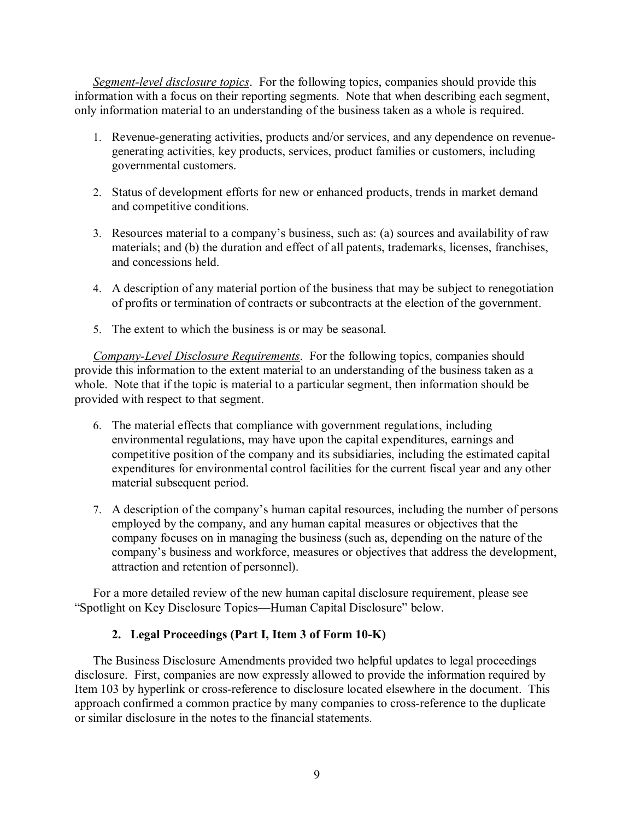*Segment-level disclosure topics*. For the following topics, companies should provide this information with a focus on their reporting segments. Note that when describing each segment, only information material to an understanding of the business taken as a whole is required.

- 1. Revenue-generating activities, products and/or services, and any dependence on revenuegenerating activities, key products, services, product families or customers, including governmental customers.
- 2. Status of development efforts for new or enhanced products, trends in market demand and competitive conditions.
- 3. Resources material to a company's business, such as: (a) sources and availability of raw materials; and (b) the duration and effect of all patents, trademarks, licenses, franchises, and concessions held.
- 4. A description of any material portion of the business that may be subject to renegotiation of profits or termination of contracts or subcontracts at the election of the government.
- 5. The extent to which the business is or may be seasonal.

*Company-Level Disclosure Requirements*. For the following topics, companies should provide this information to the extent material to an understanding of the business taken as a whole. Note that if the topic is material to a particular segment, then information should be provided with respect to that segment.

- 6. The material effects that compliance with government regulations, including environmental regulations, may have upon the capital expenditures, earnings and competitive position of the company and its subsidiaries, including the estimated capital expenditures for environmental control facilities for the current fiscal year and any other material subsequent period.
- 7. A description of the company's human capital resources, including the number of persons employed by the company, and any human capital measures or objectives that the company focuses on in managing the business (such as, depending on the nature of the company's business and workforce, measures or objectives that address the development, attraction and retention of personnel).

For a more detailed review of the new human capital disclosure requirement, please see "Spotlight on Key Disclosure Topics—Human Capital Disclosure" below.

# **2. Legal Proceedings (Part I, Item 3 of Form 10-K)**

<span id="page-8-0"></span>The Business Disclosure Amendments provided two helpful updates to legal proceedings disclosure. First, companies are now expressly allowed to provide the information required by Item 103 by hyperlink or cross-reference to disclosure located elsewhere in the document. This approach confirmed a common practice by many companies to cross-reference to the duplicate or similar disclosure in the notes to the financial statements.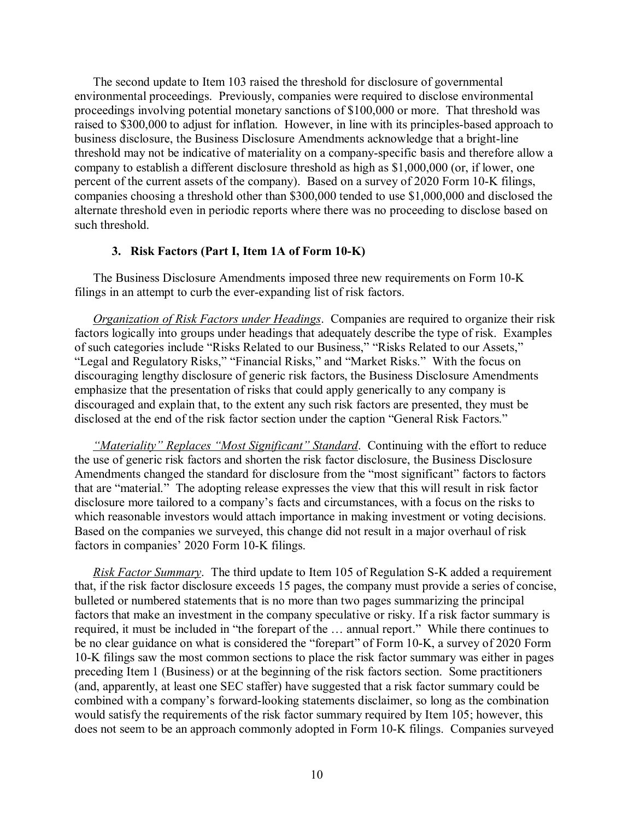The second update to Item 103 raised the threshold for disclosure of governmental environmental proceedings. Previously, companies were required to disclose environmental proceedings involving potential monetary sanctions of \$100,000 or more. That threshold was raised to \$300,000 to adjust for inflation. However, in line with its principles-based approach to business disclosure, the Business Disclosure Amendments acknowledge that a bright-line threshold may not be indicative of materiality on a company-specific basis and therefore allow a company to establish a different disclosure threshold as high as \$1,000,000 (or, if lower, one percent of the current assets of the company). Based on a survey of 2020 Form 10-K filings, companies choosing a threshold other than \$300,000 tended to use \$1,000,000 and disclosed the alternate threshold even in periodic reports where there was no proceeding to disclose based on such threshold.

#### **3. Risk Factors (Part I, Item 1A of Form 10-K)**

<span id="page-9-0"></span>The Business Disclosure Amendments imposed three new requirements on Form 10-K filings in an attempt to curb the ever-expanding list of risk factors.

*Organization of Risk Factors under Headings*. Companies are required to organize their risk factors logically into groups under headings that adequately describe the type of risk. Examples of such categories include "Risks Related to our Business," "Risks Related to our Assets," "Legal and Regulatory Risks," "Financial Risks," and "Market Risks." With the focus on discouraging lengthy disclosure of generic risk factors, the Business Disclosure Amendments emphasize that the presentation of risks that could apply generically to any company is discouraged and explain that, to the extent any such risk factors are presented, they must be disclosed at the end of the risk factor section under the caption "General Risk Factors."

*"Materiality" Replaces "Most Significant" Standard*. Continuing with the effort to reduce the use of generic risk factors and shorten the risk factor disclosure, the Business Disclosure Amendments changed the standard for disclosure from the "most significant" factors to factors that are "material." The adopting release expresses the view that this will result in risk factor disclosure more tailored to a company's facts and circumstances, with a focus on the risks to which reasonable investors would attach importance in making investment or voting decisions. Based on the companies we surveyed, this change did not result in a major overhaul of risk factors in companies' 2020 Form 10-K filings.

*Risk Factor Summary*. The third update to Item 105 of Regulation S-K added a requirement that, if the risk factor disclosure exceeds 15 pages, the company must provide a series of concise, bulleted or numbered statements that is no more than two pages summarizing the principal factors that make an investment in the company speculative or risky. If a risk factor summary is required, it must be included in "the forepart of the … annual report." While there continues to be no clear guidance on what is considered the "forepart" of Form 10-K, a survey of 2020 Form 10-K filings saw the most common sections to place the risk factor summary was either in pages preceding Item 1 (Business) or at the beginning of the risk factors section. Some practitioners (and, apparently, at least one SEC staffer) have suggested that a risk factor summary could be combined with a company's forward-looking statements disclaimer, so long as the combination would satisfy the requirements of the risk factor summary required by Item 105; however, this does not seem to be an approach commonly adopted in Form 10-K filings. Companies surveyed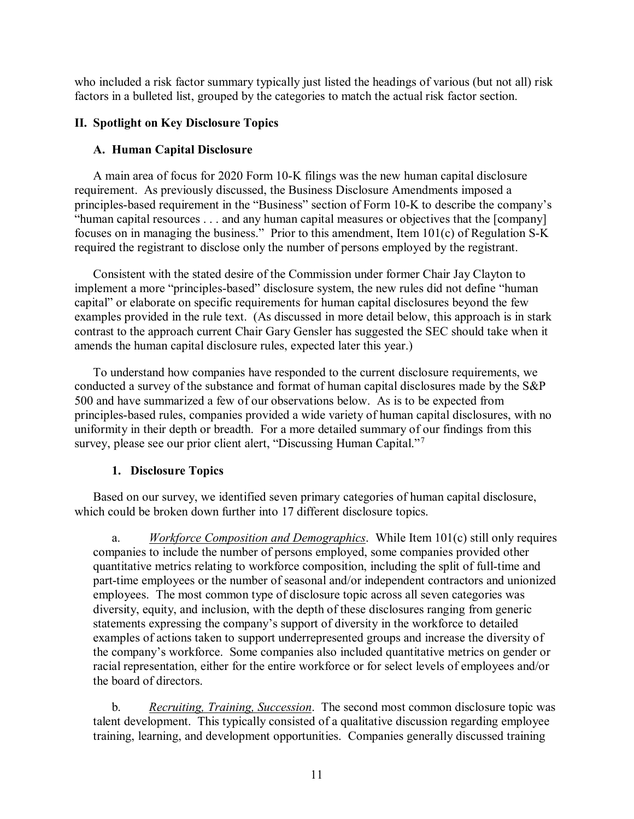who included a risk factor summary typically just listed the headings of various (but not all) risk factors in a bulleted list, grouped by the categories to match the actual risk factor section.

# <span id="page-10-0"></span>**II. Spotlight on Key Disclosure Topics**

# <span id="page-10-1"></span>**A. Human Capital Disclosure**

A main area of focus for 2020 Form 10-K filings was the new human capital disclosure requirement. As previously discussed, the Business Disclosure Amendments imposed a principles-based requirement in the "Business" section of Form 10-K to describe the company's "human capital resources . . . and any human capital measures or objectives that the [company] focuses on in managing the business." Prior to this amendment, Item 101(c) of Regulation S-K required the registrant to disclose only the number of persons employed by the registrant.

Consistent with the stated desire of the Commission under former Chair Jay Clayton to implement a more "principles-based" disclosure system, the new rules did not define "human capital" or elaborate on specific requirements for human capital disclosures beyond the few examples provided in the rule text. (As discussed in more detail below, this approach is in stark contrast to the approach current Chair Gary Gensler has suggested the SEC should take when it amends the human capital disclosure rules, expected later this year.)

To understand how companies have responded to the current disclosure requirements, we conducted a survey of the substance and format of human capital disclosures made by the S&P 500 and have summarized a few of our observations below. As is to be expected from principles-based rules, companies provided a wide variety of human capital disclosures, with no uniformity in their depth or breadth. For a more detailed summary of our findings from this survey, please see our prior client alert, "Discussing Human Capital."<sup>[7](#page-21-2)</sup>

# **1. Disclosure Topics**

<span id="page-10-2"></span>Based on our survey, we identified seven primary categories of human capital disclosure, which could be broken down further into 17 different disclosure topics.

a. *Workforce Composition and Demographics*. While Item 101(c) still only requires companies to include the number of persons employed, some companies provided other quantitative metrics relating to workforce composition, including the split of full-time and part-time employees or the number of seasonal and/or independent contractors and unionized employees. The most common type of disclosure topic across all seven categories was diversity, equity, and inclusion, with the depth of these disclosures ranging from generic statements expressing the company's support of diversity in the workforce to detailed examples of actions taken to support underrepresented groups and increase the diversity of the company's workforce. Some companies also included quantitative metrics on gender or racial representation, either for the entire workforce or for select levels of employees and/or the board of directors.

b. *Recruiting, Training, Succession*. The second most common disclosure topic was talent development. This typically consisted of a qualitative discussion regarding employee training, learning, and development opportunities. Companies generally discussed training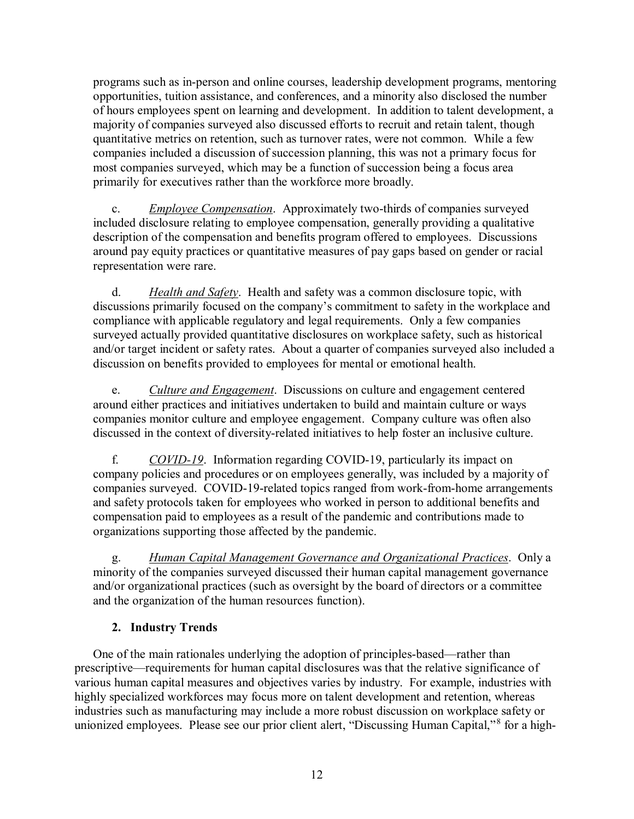programs such as in-person and online courses, leadership development programs, mentoring opportunities, tuition assistance, and conferences, and a minority also disclosed the number of hours employees spent on learning and development. In addition to talent development, a majority of companies surveyed also discussed efforts to recruit and retain talent, though quantitative metrics on retention, such as turnover rates, were not common. While a few companies included a discussion of succession planning, this was not a primary focus for most companies surveyed, which may be a function of succession being a focus area primarily for executives rather than the workforce more broadly.

c. *Employee Compensation*. Approximately two-thirds of companies surveyed included disclosure relating to employee compensation, generally providing a qualitative description of the compensation and benefits program offered to employees. Discussions around pay equity practices or quantitative measures of pay gaps based on gender or racial representation were rare.

d. *Health and Safety*. Health and safety was a common disclosure topic, with discussions primarily focused on the company's commitment to safety in the workplace and compliance with applicable regulatory and legal requirements. Only a few companies surveyed actually provided quantitative disclosures on workplace safety, such as historical and/or target incident or safety rates. About a quarter of companies surveyed also included a discussion on benefits provided to employees for mental or emotional health.

e. *Culture and Engagement*. Discussions on culture and engagement centered around either practices and initiatives undertaken to build and maintain culture or ways companies monitor culture and employee engagement. Company culture was often also discussed in the context of diversity-related initiatives to help foster an inclusive culture.

f. *COVID-19*. Information regarding COVID-19, particularly its impact on company policies and procedures or on employees generally, was included by a majority of companies surveyed. COVID-19-related topics ranged from work-from-home arrangements and safety protocols taken for employees who worked in person to additional benefits and compensation paid to employees as a result of the pandemic and contributions made to organizations supporting those affected by the pandemic.

g. *Human Capital Management Governance and Organizational Practices*. Only a minority of the companies surveyed discussed their human capital management governance and/or organizational practices (such as oversight by the board of directors or a committee and the organization of the human resources function).

# **2. Industry Trends**

<span id="page-11-0"></span>One of the main rationales underlying the adoption of principles-based—rather than prescriptive—requirements for human capital disclosures was that the relative significance of various human capital measures and objectives varies by industry. For example, industries with highly specialized workforces may focus more on talent development and retention, whereas industries such as manufacturing may include a more robust discussion on workplace safety or unionized employees. Please see our prior client alert, "Discussing Human Capital,"[8](#page-21-3) for a high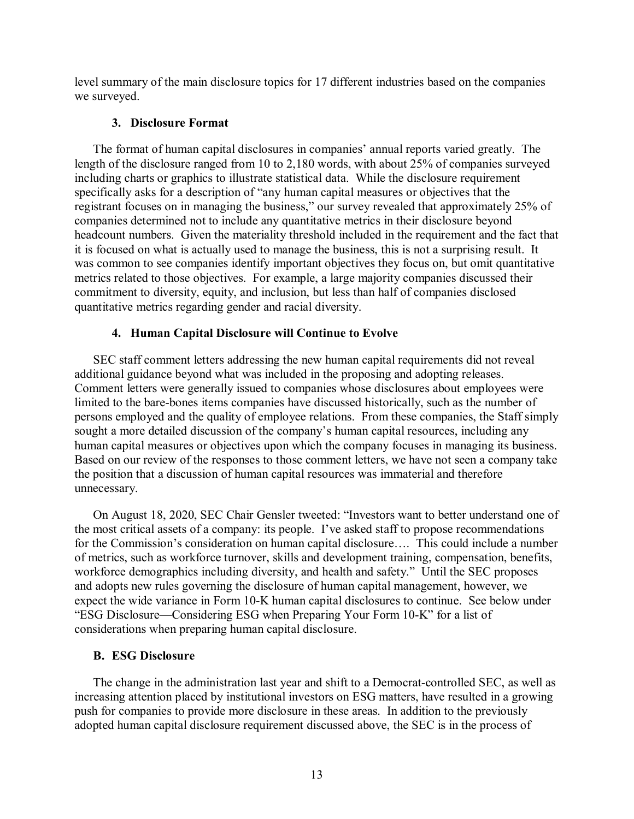level summary of the main disclosure topics for 17 different industries based on the companies we surveyed.

### **3. Disclosure Format**

<span id="page-12-0"></span>The format of human capital disclosures in companies' annual reports varied greatly. The length of the disclosure ranged from 10 to 2,180 words, with about 25% of companies surveyed including charts or graphics to illustrate statistical data. While the disclosure requirement specifically asks for a description of "any human capital measures or objectives that the registrant focuses on in managing the business," our survey revealed that approximately 25% of companies determined not to include any quantitative metrics in their disclosure beyond headcount numbers. Given the materiality threshold included in the requirement and the fact that it is focused on what is actually used to manage the business, this is not a surprising result. It was common to see companies identify important objectives they focus on, but omit quantitative metrics related to those objectives. For example, a large majority companies discussed their commitment to diversity, equity, and inclusion, but less than half of companies disclosed quantitative metrics regarding gender and racial diversity.

### **4. Human Capital Disclosure will Continue to Evolve**

<span id="page-12-1"></span>SEC staff comment letters addressing the new human capital requirements did not reveal additional guidance beyond what was included in the proposing and adopting releases. Comment letters were generally issued to companies whose disclosures about employees were limited to the bare-bones items companies have discussed historically, such as the number of persons employed and the quality of employee relations. From these companies, the Staff simply sought a more detailed discussion of the company's human capital resources, including any human capital measures or objectives upon which the company focuses in managing its business. Based on our review of the responses to those comment letters, we have not seen a company take the position that a discussion of human capital resources was immaterial and therefore unnecessary.

On August 18, 2020, SEC Chair Gensler tweeted: "Investors want to better understand one of the most critical assets of a company: its people. I've asked staff to propose recommendations for the Commission's consideration on human capital disclosure…. This could include a number of metrics, such as workforce turnover, skills and development training, compensation, benefits, workforce demographics including diversity, and health and safety." Until the SEC proposes and adopts new rules governing the disclosure of human capital management, however, we expect the wide variance in Form 10-K human capital disclosures to continue. See below under "ESG Disclosure—Considering ESG when Preparing Your Form 10-K" for a list of considerations when preparing human capital disclosure.

# <span id="page-12-2"></span>**B. ESG Disclosure**

The change in the administration last year and shift to a Democrat-controlled SEC, as well as increasing attention placed by institutional investors on ESG matters, have resulted in a growing push for companies to provide more disclosure in these areas. In addition to the previously adopted human capital disclosure requirement discussed above, the SEC is in the process of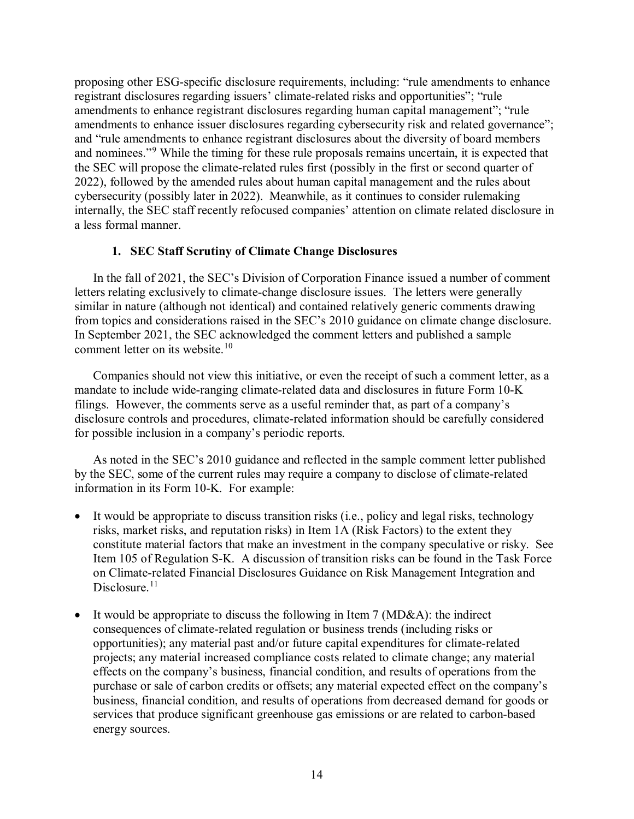proposing other ESG-specific disclosure requirements, including: "rule amendments to enhance registrant disclosures regarding issuers' climate-related risks and opportunities"; "rule amendments to enhance registrant disclosures regarding human capital management"; "rule amendments to enhance issuer disclosures regarding cybersecurity risk and related governance"; and "rule amendments to enhance registrant disclosures about the diversity of board members and nominees."[9](#page-21-4) While the timing for these rule proposals remains uncertain, it is expected that the SEC will propose the climate-related rules first (possibly in the first or second quarter of 2022), followed by the amended rules about human capital management and the rules about cybersecurity (possibly later in 2022). Meanwhile, as it continues to consider rulemaking internally, the SEC staff recently refocused companies' attention on climate related disclosure in a less formal manner.

### **1. SEC Staff Scrutiny of Climate Change Disclosures**

<span id="page-13-0"></span>In the fall of 2021, the SEC's Division of Corporation Finance issued a number of comment letters relating exclusively to climate-change disclosure issues. The letters were generally similar in nature (although not identical) and contained relatively generic comments drawing from topics and considerations raised in the SEC's 2010 guidance on climate change disclosure. In September 2021, the SEC acknowledged the comment letters and published a sample comment letter on its website.<sup>10</sup>

Companies should not view this initiative, or even the receipt of such a comment letter, as a mandate to include wide-ranging climate-related data and disclosures in future Form 10-K filings. However, the comments serve as a useful reminder that, as part of a company's disclosure controls and procedures, climate-related information should be carefully considered for possible inclusion in a company's periodic reports.

As noted in the SEC's 2010 guidance and reflected in the sample comment letter published by the SEC, some of the current rules may require a company to disclose of climate-related information in its Form 10-K. For example:

- It would be appropriate to discuss transition risks (i.e., policy and legal risks, technology risks, market risks, and reputation risks) in Item 1A (Risk Factors) to the extent they constitute material factors that make an investment in the company speculative or risky. See Item 105 of Regulation S-K. A discussion of transition risks can be found in the Task Force on Climate-related Financial Disclosures Guidance on Risk Management Integration and Disclosure. $11$
- It would be appropriate to discuss the following in Item 7 ( $MD&A$ ): the indirect consequences of climate-related regulation or business trends (including risks or opportunities); any material past and/or future capital expenditures for climate-related projects; any material increased compliance costs related to climate change; any material effects on the company's business, financial condition, and results of operations from the purchase or sale of carbon credits or offsets; any material expected effect on the company's business, financial condition, and results of operations from decreased demand for goods or services that produce significant greenhouse gas emissions or are related to carbon-based energy sources.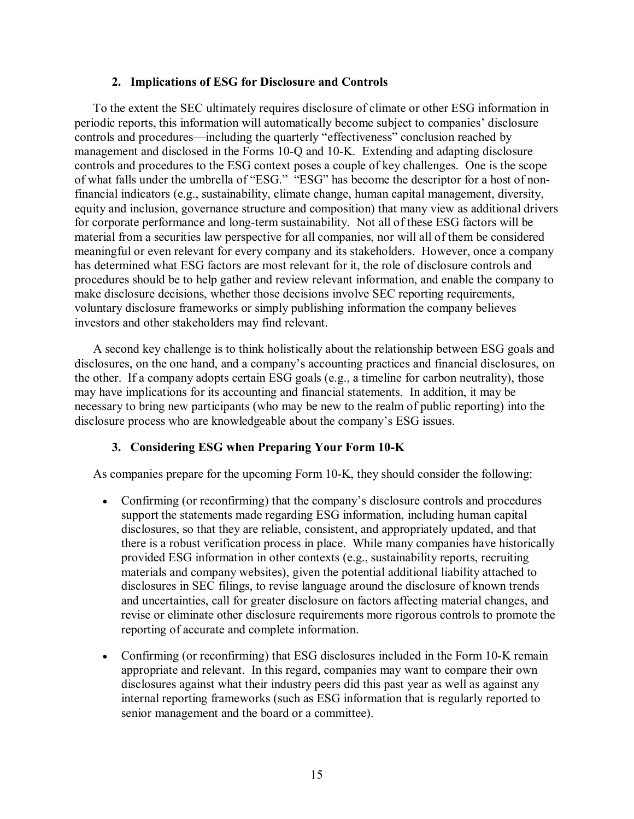### **2. Implications of ESG for Disclosure and Controls**

<span id="page-14-0"></span>To the extent the SEC ultimately requires disclosure of climate or other ESG information in periodic reports, this information will automatically become subject to companies' disclosure controls and procedures—including the quarterly "effectiveness" conclusion reached by management and disclosed in the Forms 10-Q and 10-K. Extending and adapting disclosure controls and procedures to the ESG context poses a couple of key challenges. One is the scope of what falls under the umbrella of "ESG." "ESG" has become the descriptor for a host of nonfinancial indicators (e.g., sustainability, climate change, human capital management, diversity, equity and inclusion, governance structure and composition) that many view as additional drivers for corporate performance and long-term sustainability. Not all of these ESG factors will be material from a securities law perspective for all companies, nor will all of them be considered meaningful or even relevant for every company and its stakeholders. However, once a company has determined what ESG factors are most relevant for it, the role of disclosure controls and procedures should be to help gather and review relevant information, and enable the company to make disclosure decisions, whether those decisions involve SEC reporting requirements, voluntary disclosure frameworks or simply publishing information the company believes investors and other stakeholders may find relevant.

A second key challenge is to think holistically about the relationship between ESG goals and disclosures, on the one hand, and a company's accounting practices and financial disclosures, on the other. If a company adopts certain ESG goals (e.g., a timeline for carbon neutrality), those may have implications for its accounting and financial statements. In addition, it may be necessary to bring new participants (who may be new to the realm of public reporting) into the disclosure process who are knowledgeable about the company's ESG issues.

### **3. Considering ESG when Preparing Your Form 10-K**

<span id="page-14-1"></span>As companies prepare for the upcoming Form 10-K, they should consider the following:

- Confirming (or reconfirming) that the company's disclosure controls and procedures support the statements made regarding ESG information, including human capital disclosures, so that they are reliable, consistent, and appropriately updated, and that there is a robust verification process in place. While many companies have historically provided ESG information in other contexts (e.g., sustainability reports, recruiting materials and company websites), given the potential additional liability attached to disclosures in SEC filings, to revise language around the disclosure of known trends and uncertainties, call for greater disclosure on factors affecting material changes, and revise or eliminate other disclosure requirements more rigorous controls to promote the reporting of accurate and complete information.
- Confirming (or reconfirming) that ESG disclosures included in the Form 10-K remain appropriate and relevant. In this regard, companies may want to compare their own disclosures against what their industry peers did this past year as well as against any internal reporting frameworks (such as ESG information that is regularly reported to senior management and the board or a committee).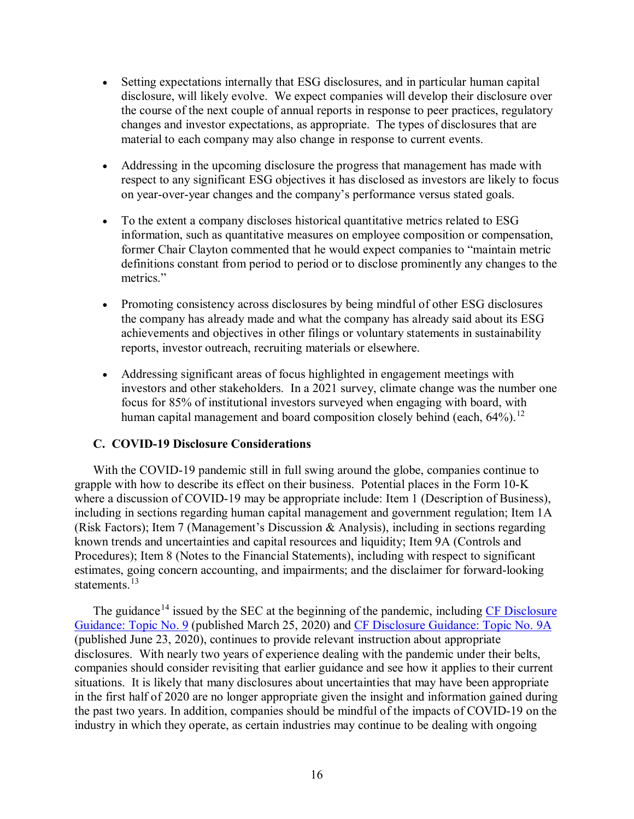- Setting expectations internally that ESG disclosures, and in particular human capital disclosure, will likely evolve. We expect companies will develop their disclosure over the course of the next couple of annual reports in response to peer practices, regulatory changes and investor expectations, as appropriate. The types of disclosures that are material to each company may also change in response to current events.
- Addressing in the upcoming disclosure the progress that management has made with respect to any significant ESG objectives it has disclosed as investors are likely to focus on year-over-year changes and the company's performance versus stated goals.
- To the extent a company discloses historical quantitative metrics related to ESG information, such as quantitative measures on employee composition or compensation, former Chair Clayton commented that he would expect companies to "maintain metric definitions constant from period to period or to disclose prominently any changes to the metrics."
- Promoting consistency across disclosures by being mindful of other ESG disclosures the company has already made and what the company has already said about its ESG achievements and objectives in other filings or voluntary statements in sustainability reports, investor outreach, recruiting materials or elsewhere.
- Addressing significant areas of focus highlighted in engagement meetings with investors and other stakeholders. In a 2021 survey, climate change was the number one focus for 85% of institutional investors surveyed when engaging with board, with human capital management and board composition closely behind (each, 64%).<sup>[12](#page-21-7)</sup>

### <span id="page-15-0"></span>**C. COVID-19 Disclosure Considerations**

With the COVID-19 pandemic still in full swing around the globe, companies continue to grapple with how to describe its effect on their business. Potential places in the Form 10-K where a discussion of COVID-19 may be appropriate include: Item 1 (Description of Business), including in sections regarding human capital management and government regulation; Item 1A (Risk Factors); Item 7 (Management's Discussion & Analysis), including in sections regarding known trends and uncertainties and capital resources and liquidity; Item 9A (Controls and Procedures); Item 8 (Notes to the Financial Statements), including with respect to significant estimates, going concern accounting, and impairments; and the disclaimer for forward-looking statements.<sup>[13](#page-21-8)</sup>

The guidance<sup>[14](#page-21-9)</sup> issued by the SEC at the beginning of the pandemic, including CF Disclosure [Guidance:](https://www.sec.gov/corpfin/coronavirus-covid-19) Topic No. 9 (published March 25, 2020) and [CF Disclosure Guidance: Topic No. 9A](https://www.sec.gov/corpfin/covid-19-disclosure-considerations) (published June 23, 2020), continues to provide relevant instruction about appropriate disclosures. With nearly two years of experience dealing with the pandemic under their belts, companies should consider revisiting that earlier guidance and see how it applies to their current situations. It is likely that many disclosures about uncertainties that may have been appropriate in the first half of 2020 are no longer appropriate given the insight and information gained during the past two years. In addition, companies should be mindful of the impacts of COVID-19 on the industry in which they operate, as certain industries may continue to be dealing with ongoing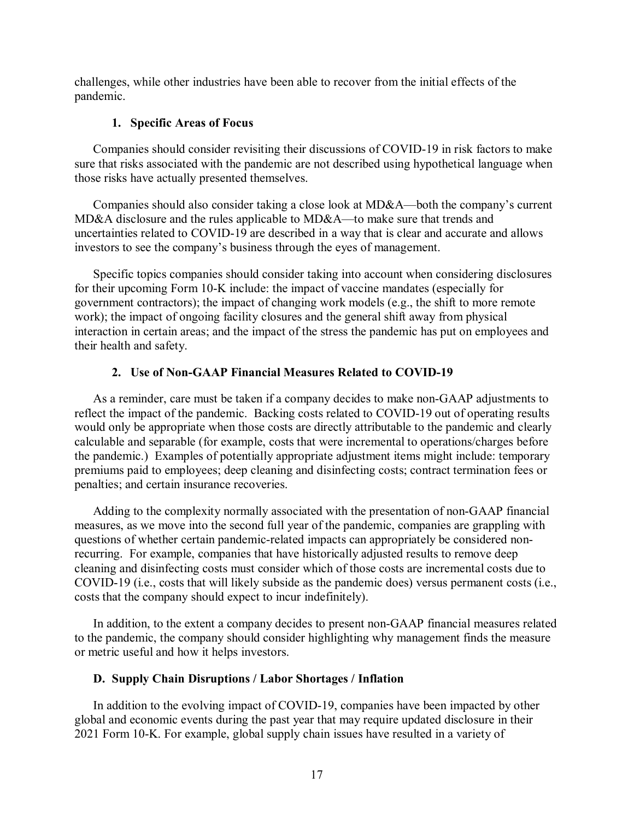challenges, while other industries have been able to recover from the initial effects of the pandemic.

### **1. Specific Areas of Focus**

<span id="page-16-0"></span>Companies should consider revisiting their discussions of COVID-19 in risk factors to make sure that risks associated with the pandemic are not described using hypothetical language when those risks have actually presented themselves.

Companies should also consider taking a close look at MD&A—both the company's current MD&A disclosure and the rules applicable to MD&A—to make sure that trends and uncertainties related to COVID-19 are described in a way that is clear and accurate and allows investors to see the company's business through the eyes of management.

Specific topics companies should consider taking into account when considering disclosures for their upcoming Form 10-K include: the impact of vaccine mandates (especially for government contractors); the impact of changing work models (e.g., the shift to more remote work); the impact of ongoing facility closures and the general shift away from physical interaction in certain areas; and the impact of the stress the pandemic has put on employees and their health and safety.

### **2. Use of Non-GAAP Financial Measures Related to COVID-19**

<span id="page-16-1"></span>As a reminder, care must be taken if a company decides to make non-GAAP adjustments to reflect the impact of the pandemic. Backing costs related to COVID-19 out of operating results would only be appropriate when those costs are directly attributable to the pandemic and clearly calculable and separable (for example, costs that were incremental to operations/charges before the pandemic.) Examples of potentially appropriate adjustment items might include: temporary premiums paid to employees; deep cleaning and disinfecting costs; contract termination fees or penalties; and certain insurance recoveries.

Adding to the complexity normally associated with the presentation of non-GAAP financial measures, as we move into the second full year of the pandemic, companies are grappling with questions of whether certain pandemic-related impacts can appropriately be considered nonrecurring. For example, companies that have historically adjusted results to remove deep cleaning and disinfecting costs must consider which of those costs are incremental costs due to COVID-19 (i.e., costs that will likely subside as the pandemic does) versus permanent costs (i.e., costs that the company should expect to incur indefinitely).

In addition, to the extent a company decides to present non-GAAP financial measures related to the pandemic, the company should consider highlighting why management finds the measure or metric useful and how it helps investors.

### <span id="page-16-2"></span>**D. Supply Chain Disruptions / Labor Shortages / Inflation**

In addition to the evolving impact of COVID-19, companies have been impacted by other global and economic events during the past year that may require updated disclosure in their 2021 Form 10-K. For example, global supply chain issues have resulted in a variety of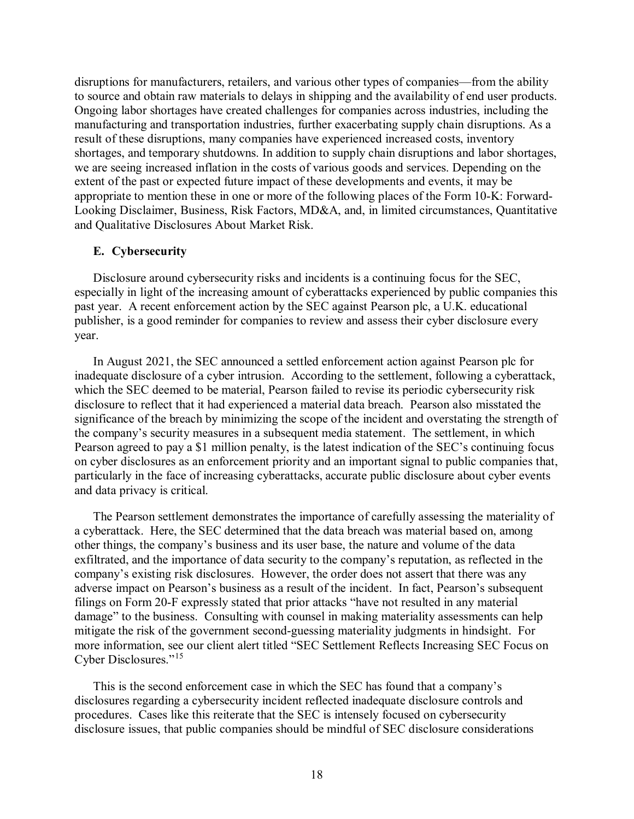disruptions for manufacturers, retailers, and various other types of companies—from the ability to source and obtain raw materials to delays in shipping and the availability of end user products. Ongoing labor shortages have created challenges for companies across industries, including the manufacturing and transportation industries, further exacerbating supply chain disruptions. As a result of these disruptions, many companies have experienced increased costs, inventory shortages, and temporary shutdowns. In addition to supply chain disruptions and labor shortages, we are seeing increased inflation in the costs of various goods and services. Depending on the extent of the past or expected future impact of these developments and events, it may be appropriate to mention these in one or more of the following places of the Form 10-K: Forward-Looking Disclaimer, Business, Risk Factors, MD&A, and, in limited circumstances, Quantitative and Qualitative Disclosures About Market Risk.

### <span id="page-17-0"></span>**E. Cybersecurity**

Disclosure around cybersecurity risks and incidents is a continuing focus for the SEC, especially in light of the increasing amount of cyberattacks experienced by public companies this past year. A recent enforcement action by the SEC against Pearson plc, a U.K. educational publisher, is a good reminder for companies to review and assess their cyber disclosure every year.

In August 2021, the SEC announced a settled enforcement action against Pearson plc for inadequate disclosure of a cyber intrusion. According to the settlement, following a cyberattack, which the SEC deemed to be material, Pearson failed to revise its periodic cybersecurity risk disclosure to reflect that it had experienced a material data breach. Pearson also misstated the significance of the breach by minimizing the scope of the incident and overstating the strength of the company's security measures in a subsequent media statement. The settlement, in which Pearson agreed to pay a \$1 million penalty, is the latest indication of the SEC's continuing focus on cyber disclosures as an enforcement priority and an important signal to public companies that, particularly in the face of increasing cyberattacks, accurate public disclosure about cyber events and data privacy is critical.

The Pearson settlement demonstrates the importance of carefully assessing the materiality of a cyberattack. Here, the SEC determined that the data breach was material based on, among other things, the company's business and its user base, the nature and volume of the data exfiltrated, and the importance of data security to the company's reputation, as reflected in the company's existing risk disclosures. However, the order does not assert that there was any adverse impact on Pearson's business as a result of the incident. In fact, Pearson's subsequent filings on Form 20-F expressly stated that prior attacks "have not resulted in any material damage" to the business. Consulting with counsel in making materiality assessments can help mitigate the risk of the government second-guessing materiality judgments in hindsight. For more information, see our client alert titled "SEC Settlement Reflects Increasing SEC Focus on Cyber Disclosures."[15](#page-21-10)

This is the second enforcement case in which the SEC has found that a company's disclosures regarding a cybersecurity incident reflected inadequate disclosure controls and procedures. Cases like this reiterate that the SEC is intensely focused on cybersecurity disclosure issues, that public companies should be mindful of SEC disclosure considerations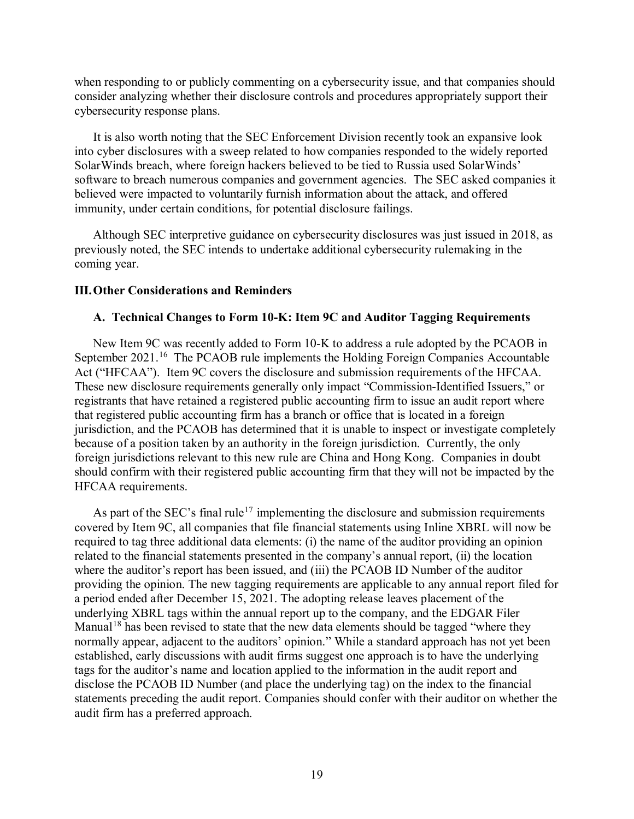when responding to or publicly commenting on a cybersecurity issue, and that companies should consider analyzing whether their disclosure controls and procedures appropriately support their cybersecurity response plans.

It is also worth noting that the SEC Enforcement Division recently took an expansive look into cyber disclosures with a sweep related to how companies responded to the widely reported SolarWinds breach, where foreign hackers believed to be tied to Russia used SolarWinds' software to breach numerous companies and government agencies. The SEC asked companies it believed were impacted to voluntarily furnish information about the attack, and offered immunity, under certain conditions, for potential disclosure failings.

Although SEC interpretive guidance on cybersecurity disclosures was just issued in 2018, as previously noted, the SEC intends to undertake additional cybersecurity rulemaking in the coming year.

### <span id="page-18-0"></span>**III.Other Considerations and Reminders**

### <span id="page-18-1"></span>**A. Technical Changes to Form 10-K: Item 9C and Auditor Tagging Requirements**

New Item 9C was recently added to Form 10-K to address a rule adopted by the PCAOB in September 2021.<sup>[16](#page-21-11)</sup> The PCAOB rule implements the Holding Foreign Companies Accountable Act ("HFCAA"). Item 9C covers the disclosure and submission requirements of the HFCAA. These new disclosure requirements generally only impact "Commission-Identified Issuers," or registrants that have retained a registered public accounting firm to issue an audit report where that registered public accounting firm has a branch or office that is located in a foreign jurisdiction, and the PCAOB has determined that it is unable to inspect or investigate completely because of a position taken by an authority in the foreign jurisdiction. Currently, the only foreign jurisdictions relevant to this new rule are China and Hong Kong. Companies in doubt should confirm with their registered public accounting firm that they will not be impacted by the HFCAA requirements.

As part of the SEC's final rule<sup>[17](#page-21-12)</sup> implementing the disclosure and submission requirements covered by Item 9C, all companies that file financial statements using Inline XBRL will now be required to tag three additional data elements: (i) the name of the auditor providing an opinion related to the financial statements presented in the company's annual report, (ii) the location where the auditor's report has been issued, and (iii) the PCAOB ID Number of the auditor providing the opinion. The new tagging requirements are applicable to any annual report filed for a period ended after December 15, 2021. The adopting release leaves placement of the underlying XBRL tags within the annual report up to the company, and the EDGAR Filer Manual<sup>[18](#page-21-13)</sup> has been revised to state that the new data elements should be tagged "where they normally appear, adjacent to the auditors' opinion." While a standard approach has not yet been established, early discussions with audit firms suggest one approach is to have the underlying tags for the auditor's name and location applied to the information in the audit report and disclose the PCAOB ID Number (and place the underlying tag) on the index to the financial statements preceding the audit report. Companies should confer with their auditor on whether the audit firm has a preferred approach.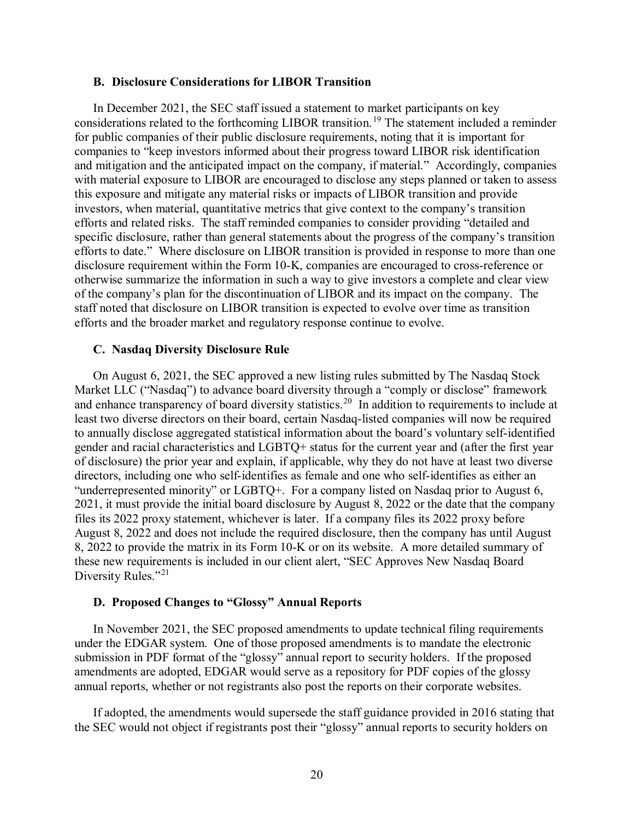#### <span id="page-19-0"></span>**B. Disclosure Considerations for LIBOR Transition**

In December 2021, the SEC staff issued a statement to market participants on key considerations related to the forthcoming LIBOR transition.[19](#page-21-14) The statement included a reminder for public companies of their public disclosure requirements, noting that it is important for companies to "keep investors informed about their progress toward LIBOR risk identification and mitigation and the anticipated impact on the company, if material." Accordingly, companies with material exposure to LIBOR are encouraged to disclose any steps planned or taken to assess this exposure and mitigate any material risks or impacts of LIBOR transition and provide investors, when material, quantitative metrics that give context to the company's transition efforts and related risks. The staff reminded companies to consider providing "detailed and specific disclosure, rather than general statements about the progress of the company's transition efforts to date." Where disclosure on LIBOR transition is provided in response to more than one disclosure requirement within the Form 10-K, companies are encouraged to cross-reference or otherwise summarize the information in such a way to give investors a complete and clear view of the company's plan for the discontinuation of LIBOR and its impact on the company. The staff noted that disclosure on LIBOR transition is expected to evolve over time as transition efforts and the broader market and regulatory response continue to evolve.

#### <span id="page-19-1"></span>**C. Nasdaq Diversity Disclosure Rule**

On August 6, 2021, the SEC approved a new listing rules submitted by The Nasdaq Stock Market LLC ("Nasdaq") to advance board diversity through a "comply or disclose" framework and enhance transparency of board diversity statistics.<sup>[20](#page-21-15)</sup> In addition to requirements to include at least two diverse directors on their board, certain Nasdaq-listed companies will now be required to annually disclose aggregated statistical information about the board's voluntary self-identified gender and racial characteristics and LGBTQ+ status for the current year and (after the first year of disclosure) the prior year and explain, if applicable, why they do not have at least two diverse directors, including one who self-identifies as female and one who self-identifies as either an "underrepresented minority" or LGBTQ+. For a company listed on Nasdaq prior to August 6, 2021, it must provide the initial board disclosure by August 8, 2022 or the date that the company files its 2022 proxy statement, whichever is later. If a company files its 2022 proxy before August 8, 2022 and does not include the required disclosure, then the company has until August 8, 2022 to provide the matrix in its Form 10-K or on its website. A more detailed summary of these new requirements is included in our client alert, "SEC Approves New Nasdaq Board Diversity Rules."<sup>[21](#page-21-16)</sup>

#### <span id="page-19-2"></span>**D. Proposed Changes to "Glossy" Annual Reports**

In November 2021, the SEC proposed amendments to update technical filing requirements under the EDGAR system. One of those proposed amendments is to mandate the electronic submission in PDF format of the "glossy" annual report to security holders. If the proposed amendments are adopted, EDGAR would serve as a repository for PDF copies of the glossy annual reports, whether or not registrants also post the reports on their corporate websites.

If adopted, the amendments would supersede the staff guidance provided in 2016 stating that the SEC would not object if registrants post their "glossy" annual reports to security holders on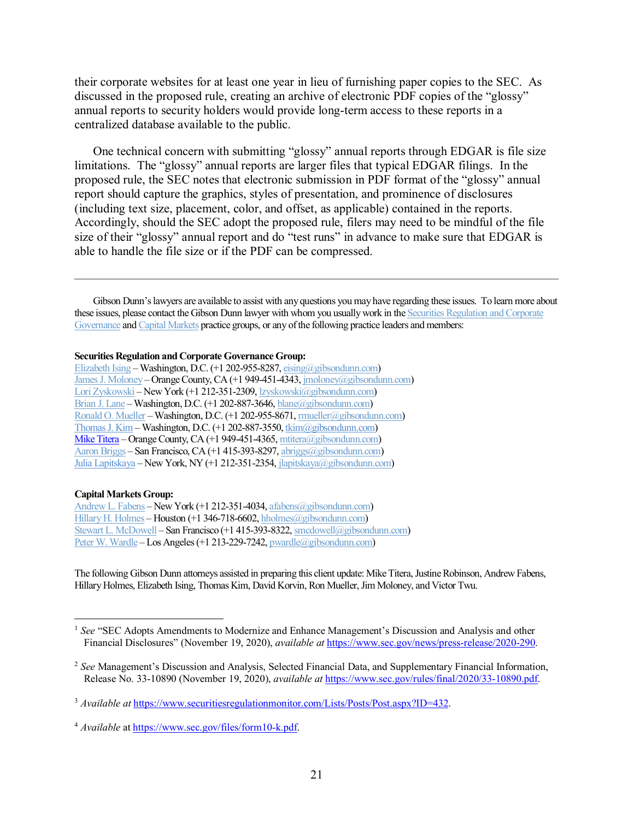their corporate websites for at least one year in lieu of furnishing paper copies to the SEC. As discussed in the proposed rule, creating an archive of electronic PDF copies of the "glossy" annual reports to security holders would provide long-term access to these reports in a centralized database available to the public.

One technical concern with submitting "glossy" annual reports through EDGAR is file size limitations. The "glossy" annual reports are larger files that typical EDGAR filings. In the proposed rule, the SEC notes that electronic submission in PDF format of the "glossy" annual report should capture the graphics, styles of presentation, and prominence of disclosures (including text size, placement, color, and offset, as applicable) contained in the reports. Accordingly, should the SEC adopt the proposed rule, filers may need to be mindful of the file size of their "glossy" annual report and do "test runs" in advance to make sure that EDGAR is able to handle the file size or if the PDF can be compressed.

Gibson Dunn's lawyers are available to assist with any questions you may have regarding these issues. To learn more about these issues, please contact the Gibson Dunn lawyer with whom you usually work in the [Securities Regulation and Corporate](https://www.gibsondunn.com/practice/securities-regulation-and-corporate-governance/)  [Governance](https://www.gibsondunn.com/practice/securities-regulation-and-corporate-governance/) and Capital Markets practice groups, or any of the following practice leaders and members:

#### **Securities Regulation and Corporate Governance Group:**

[Elizabeth Ising](https://www.gibsondunn.com/lawyer/ising-elizabeth-a/) – Washington, D.C. (+1 202-955-8287, [eising@gibsondunn.com\)](mailto:eising@gibsondunn.com) [James J. Moloney](https://www.gibsondunn.com/lawyer/moloney-james/) – Orange County, CA (+1 949-451-4343, [jmoloney@gibsondunn.com\)](mailto:jmoloney@gibsondunn.com) [Lori Zyskowski](https://www.gibsondunn.com/lawyer/zyskowski-lori/) – New York (+1 212-351-2309, [lzyskowski@gibsondunn.com\)](mailto:lzyskowski@gibsondunn.com) [Brian J. Lane](https://www.gibsondunn.com/lawyer/lane-brian-j/) – Washington, D.C. (+1 202-887-3646, [blane@gibsondunn.com\)](mailto:blane@gibsondunn.com) [Ronald O. Mueller](https://www.gibsondunn.com/lawyer/mueller-ronald-o/) – Washington, D.C. (+1 202-955-8671, mueller@gibsondunn.com) [Thomas J. Kim](https://www.gibsondunn.com/lawyer/kim-thomas-j/) – Washington, D.C. (+1 202-887-3550, [tkim@gibsondunn.com\)](mailto:tkim@gibsondunn.com) Mike Titera – Orange County, CA (+1 949-451-4365, [mtitera@gibsondunn.com\)](mailto:mtitera@gibsondunn.com) [Aaron Briggs](https://www.gibsondunn.com/lawyer/briggs-aaron-k/) – San Francisco, CA (+1 415-393-8297, [abriggs@gibsondunn.com\)](mailto:abriggs@gibsondunn.com) [Julia Lapitskaya](https://www.gibsondunn.com/lawyer/lapitskaya-julia/) – New York, NY (+1 212-351-2354, [jlapitskaya@gibsondunn.com\)](mailto:jlapitskaya@gibsondunn.com)

#### **Capital Markets Group:**

 $\overline{a}$ 

[Andrew L. Fabens](https://www.gibsondunn.com/lawyer/fabens-andrew-l/) – New York (+1 212-351-4034, [afabens@gibsondunn.com\)](mailto:afabens@gibsondunn.com) [Hillary H. Holmes](https://www.gibsondunn.com/lawyer/holmes-hillary-h/) – Houston (+1 346-718-6602, [hholmes@gibsondunn.com\)](mailto:hholmes@gibsondunn.com) [Stewart L. McDowell](https://www.gibsondunn.com/lawyer/mcdowell-stewart/) – San Francisco (+1 415-393-8322, smcdowell@gibsondunn.com) [Peter W. Wardle](https://www.gibsondunn.com/lawyer/wardle-peter/) – Los Angeles (+1 213-229-7242, [pwardle@gibsondunn.com\)](mailto:pwardle@gibsondunn.com)

The following Gibson Dunn attorneys assisted in preparing this client update: MikeTitera, Justine Robinson, Andrew Fabens, Hillary Holmes, Elizabeth Ising, Thomas Kim, David Korvin, Ron Mueller, Jim Moloney, and Victor Twu.

<span id="page-20-0"></span><sup>&</sup>lt;sup>1</sup> See "SEC Adopts Amendments to Modernize and Enhance Management's Discussion and Analysis and other Financial Disclosures" (November 19, 2020), *available at* [https://www.sec.gov/news/press-release/2020-290.](https://www.sec.gov/news/press-release/2020-290)

<span id="page-20-1"></span><sup>2</sup> *See* Management's Discussion and Analysis, Selected Financial Data, and Supplementary Financial Information, Release No. 33-10890 (November 19, 2020), *available at* [https://www.sec.gov/rules/final/2020/33-10890.pdf.](https://www.sec.gov/rules/final/2020/33-10890.pdf)

<span id="page-20-2"></span><sup>3</sup> *Available at* [https://www.securitiesregulationmonitor.com/Lists/Posts/Post.aspx?ID=432.](https://www.securitiesregulationmonitor.com/Lists/Posts/Post.aspx?ID=432)

<span id="page-20-3"></span><sup>4</sup> *Available* a[t https://www.sec.gov/files/form10-k.pdf.](https://www.sec.gov/files/form10-k.pdf)